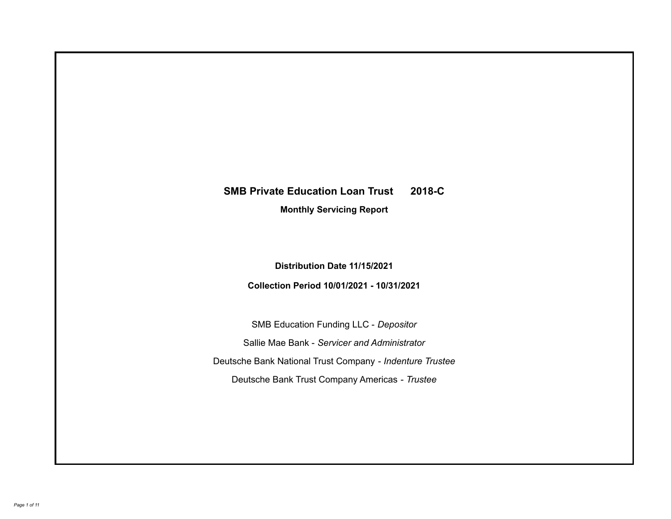# **SMB Private Education Loan Trust 2018-C**

**Monthly Servicing Report**

**Distribution Date 11/15/2021**

**Collection Period 10/01/2021 - 10/31/2021**

SMB Education Funding LLC - *Depositor* Sallie Mae Bank - *Servicer and Administrator* Deutsche Bank National Trust Company - *Indenture Trustee* Deutsche Bank Trust Company Americas - *Trustee*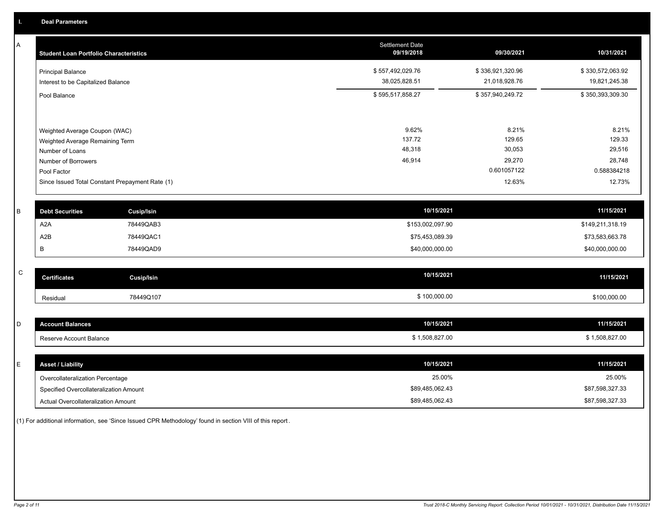A

| A            | <b>Student Loan Portfolio Characteristics</b> |                                                 | <b>Settlement Date</b><br>09/19/2018 | 09/30/2021       | 10/31/2021       |
|--------------|-----------------------------------------------|-------------------------------------------------|--------------------------------------|------------------|------------------|
|              | Principal Balance                             |                                                 | \$557,492,029.76                     | \$336,921,320.96 | \$330,572,063.92 |
|              | Interest to be Capitalized Balance            |                                                 | 38,025,828.51                        | 21,018,928.76    | 19,821,245.38    |
|              | Pool Balance                                  |                                                 | \$595,517,858.27                     | \$357,940,249.72 | \$350,393,309.30 |
|              |                                               |                                                 |                                      |                  |                  |
|              | Weighted Average Coupon (WAC)                 |                                                 | 9.62%                                | 8.21%            | 8.21%            |
|              | Weighted Average Remaining Term               |                                                 | 137.72                               | 129.65           | 129.33           |
|              | Number of Loans                               |                                                 | 48,318                               | 30,053           | 29,516           |
|              | Number of Borrowers                           |                                                 | 46,914                               | 29,270           | 28,748           |
|              | Pool Factor                                   |                                                 |                                      | 0.601057122      | 0.588384218      |
|              |                                               | Since Issued Total Constant Prepayment Rate (1) |                                      | 12.63%           | 12.73%           |
|              |                                               |                                                 |                                      |                  |                  |
| B            | <b>Debt Securities</b>                        | <b>Cusip/Isin</b>                               | 10/15/2021                           |                  | 11/15/2021       |
|              | A <sub>2</sub> A                              | 78449QAB3                                       | \$153,002,097.90                     |                  | \$149,211,318.19 |
|              | A2B                                           | 78449QAC1                                       | \$75,453,089.39                      |                  | \$73,583,663.78  |
|              | B                                             | 78449QAD9                                       | \$40,000,000.00                      |                  | \$40,000,000.00  |
|              |                                               |                                                 |                                      |                  |                  |
| $\mathsf{C}$ | <b>Certificates</b>                           | <b>Cusip/Isin</b>                               | 10/15/2021                           |                  | 11/15/2021       |
|              | Residual                                      | 78449Q107                                       | \$100,000.00                         |                  | \$100,000.00     |
|              |                                               |                                                 |                                      |                  |                  |
| D            | <b>Account Balances</b>                       |                                                 | 10/15/2021                           |                  | 11/15/2021       |
|              | Reserve Account Balance                       |                                                 | \$1,508,827.00                       |                  | \$1,508,827.00   |
|              |                                               |                                                 |                                      |                  |                  |
| E            | <b>Asset / Liability</b>                      |                                                 | 10/15/2021                           |                  | 11/15/2021       |
|              | Overcollateralization Percentage              |                                                 | 25.00%                               |                  | 25.00%           |

Specified Overcollateralization Amount

Actual Overcollateralization Amount \$89,485,062.43

(1) For additional information, see 'Since Issued CPR Methodology' found in section VIII of this report .

\$87,598,327.33 \$87,598,327.33

\$89,485,062.43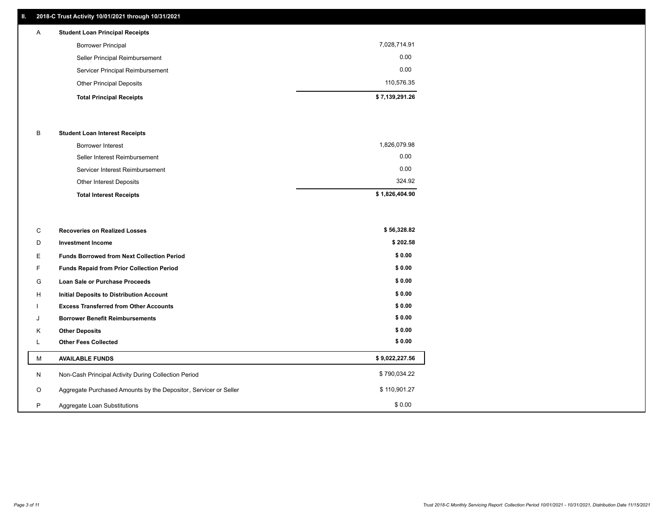# **II. 2018-C Trust Activity 10/01/2021 through 10/31/2021**

| A | <b>Student Loan Principal Receipts</b> |                |
|---|----------------------------------------|----------------|
|   | <b>Borrower Principal</b>              | 7,028,714.91   |
|   | Seller Principal Reimbursement         | 0.00           |
|   | Servicer Principal Reimbursement       | 0.00           |
|   | <b>Other Principal Deposits</b>        | 110,576.35     |
|   | <b>Total Principal Receipts</b>        | \$7,139,291.26 |

### B **Student Loan Interest Receipts**

| <b>Total Interest Receipts</b>  | \$1,826,404.90 |
|---------------------------------|----------------|
| Other Interest Deposits         | 324.92         |
| Servicer Interest Reimbursement | 0.00           |
| Seller Interest Reimbursement   | 0.00           |
| Borrower Interest               | 1,826,079.98   |

| C       | <b>Recoveries on Realized Losses</b>                             | \$56,328.82    |
|---------|------------------------------------------------------------------|----------------|
| D       | <b>Investment Income</b>                                         | \$202.58       |
| Е       | <b>Funds Borrowed from Next Collection Period</b>                | \$0.00         |
| F.      | <b>Funds Repaid from Prior Collection Period</b>                 | \$0.00         |
| G       | Loan Sale or Purchase Proceeds                                   | \$0.00         |
| H       | <b>Initial Deposits to Distribution Account</b>                  | \$0.00         |
|         | <b>Excess Transferred from Other Accounts</b>                    | \$0.00         |
| J       | <b>Borrower Benefit Reimbursements</b>                           | \$0.00         |
| Κ       | <b>Other Deposits</b>                                            | \$0.00         |
| L       | <b>Other Fees Collected</b>                                      | \$0.00         |
| М       | <b>AVAILABLE FUNDS</b>                                           | \$9,022,227.56 |
| N       | Non-Cash Principal Activity During Collection Period             | \$790,034.22   |
| $\circ$ | Aggregate Purchased Amounts by the Depositor, Servicer or Seller | \$110,901.27   |
| P       | Aggregate Loan Substitutions                                     | \$0.00         |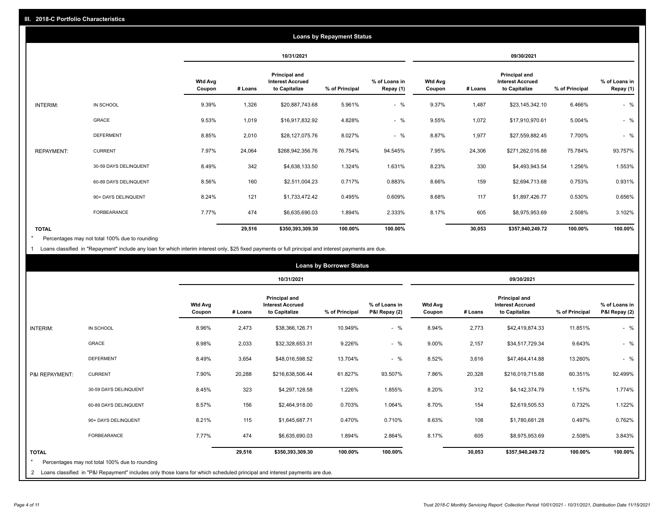|                   | <b>Loans by Repayment Status</b> |                          |            |                                                           |                |                            |                          |         |                                                           |                |                            |
|-------------------|----------------------------------|--------------------------|------------|-----------------------------------------------------------|----------------|----------------------------|--------------------------|---------|-----------------------------------------------------------|----------------|----------------------------|
|                   |                                  |                          | 10/31/2021 |                                                           |                | 09/30/2021                 |                          |         |                                                           |                |                            |
|                   |                                  | <b>Wtd Avg</b><br>Coupon | # Loans    | Principal and<br><b>Interest Accrued</b><br>to Capitalize | % of Principal | % of Loans in<br>Repay (1) | <b>Wtd Avg</b><br>Coupon | # Loans | Principal and<br><b>Interest Accrued</b><br>to Capitalize | % of Principal | % of Loans in<br>Repay (1) |
| INTERIM:          | IN SCHOOL                        | 9.39%                    | 1,326      | \$20,887,743.68                                           | 5.961%         | $-$ %                      | 9.37%                    | 1,487   | \$23,145,342.10                                           | 6.466%         | $-$ %                      |
|                   | GRACE                            | 9.53%                    | 1,019      | \$16,917,832.92                                           | 4.828%         | $-$ %                      | 9.55%                    | 1,072   | \$17,910,970.61                                           | 5.004%         | $-$ %                      |
|                   | <b>DEFERMENT</b>                 | 8.85%                    | 2,010      | \$28,127,075.76                                           | 8.027%         | $-$ %                      | 8.87%                    | 1,977   | \$27,559,882.45                                           | 7.700%         | $-$ %                      |
| <b>REPAYMENT:</b> | <b>CURRENT</b>                   | 7.97%                    | 24,064     | \$268,942,356.76                                          | 76.754%        | 94.545%                    | 7.95%                    | 24,306  | \$271,262,016.88                                          | 75.784%        | 93.757%                    |
|                   | 30-59 DAYS DELINQUENT            | 8.49%                    | 342        | \$4,638,133.50                                            | 1.324%         | 1.631%                     | 8.23%                    | 330     | \$4,493,943.54                                            | 1.256%         | 1.553%                     |
|                   | 60-89 DAYS DELINQUENT            | 8.56%                    | 160        | \$2,511,004.23                                            | 0.717%         | 0.883%                     | 8.66%                    | 159     | \$2,694,713.68                                            | 0.753%         | 0.931%                     |
|                   | 90+ DAYS DELINQUENT              | 8.24%                    | 121        | \$1,733,472.42                                            | 0.495%         | 0.609%                     | 8.68%                    | 117     | \$1,897,426.77                                            | 0.530%         | 0.656%                     |
|                   | <b>FORBEARANCE</b>               | 7.77%                    | 474        | \$6,635,690.03                                            | 1.894%         | 2.333%                     | 8.17%                    | 605     | \$8,975,953.69                                            | 2.508%         | 3.102%                     |
| <b>TOTAL</b>      |                                  |                          | 29,516     | \$350,393,309.30                                          | 100.00%        | 100.00%                    |                          | 30,053  | \$357,940,249.72                                          | 100.00%        | 100.00%                    |

Percentages may not total 100% due to rounding \*

1 Loans classified in "Repayment" include any loan for which interim interest only, \$25 fixed payments or full principal and interest payments are due.

| IN SCHOOL<br><b>INTERIM:</b>                                                                                                                                                                   | <b>Wtd Avg</b><br>Coupon<br>8.96% | # Loans<br>2,473 | 10/31/2021<br>Principal and<br><b>Interest Accrued</b><br>to Capitalize | % of Principal | % of Loans in<br>P&I Repay (2) | <b>Wtd Avg</b> |         | 09/30/2021<br>Principal and<br><b>Interest Accrued</b> |                |                                |
|------------------------------------------------------------------------------------------------------------------------------------------------------------------------------------------------|-----------------------------------|------------------|-------------------------------------------------------------------------|----------------|--------------------------------|----------------|---------|--------------------------------------------------------|----------------|--------------------------------|
|                                                                                                                                                                                                |                                   |                  |                                                                         |                |                                |                |         |                                                        |                |                                |
|                                                                                                                                                                                                |                                   |                  |                                                                         |                |                                | Coupon         | # Loans | to Capitalize                                          | % of Principal | % of Loans in<br>P&I Repay (2) |
|                                                                                                                                                                                                |                                   |                  | \$38,366,126.71                                                         | 10.949%        | $-$ %                          | 8.94%          | 2,773   | \$42,419,874.33                                        | 11.851%        | $-$ %                          |
| <b>GRACE</b>                                                                                                                                                                                   | 8.98%                             | 2,033            | \$32,328,653.31                                                         | 9.226%         | $-$ %                          | 9.00%          | 2,157   | \$34,517,729.34                                        | 9.643%         | $-$ %                          |
| <b>DEFERMENT</b>                                                                                                                                                                               | 8.49%                             | 3,654            | \$48,016,598.52                                                         | 13.704%        | $-$ %                          | 8.52%          | 3,616   | \$47,464,414.88                                        | 13.260%        | $-$ %                          |
| <b>CURRENT</b><br>P&I REPAYMENT:                                                                                                                                                               | 7.90%                             | 20,288           | \$216,638,506.44                                                        | 61.827%        | 93.507%                        | 7.86%          | 20,328  | \$216,019,715.88                                       | 60.351%        | 92.499%                        |
| 30-59 DAYS DELINQUENT                                                                                                                                                                          | 8.45%                             | 323              | \$4,297,128.58                                                          | 1.226%         | 1.855%                         | 8.20%          | 312     | \$4,142,374.79                                         | 1.157%         | 1.774%                         |
| 60-89 DAYS DELINQUENT                                                                                                                                                                          | 8.57%                             | 156              | \$2,464,918.00                                                          | 0.703%         | 1.064%                         | 8.70%          | 154     | \$2,619,505.53                                         | 0.732%         | 1.122%                         |
| 90+ DAYS DELINQUENT                                                                                                                                                                            | 8.21%                             | 115              | \$1,645,687.71                                                          | 0.470%         | 0.710%                         | 8.63%          | 108     | \$1,780,681.28                                         | 0.497%         | 0.762%                         |
| FORBEARANCE                                                                                                                                                                                    | 7.77%                             | 474              | \$6,635,690.03                                                          | 1.894%         | 2.864%                         | 8.17%          | 605     | \$8,975,953.69                                         | 2.508%         | 3.843%                         |
| <b>TOTAL</b><br>Percentages may not total 100% due to rounding<br>2 Loans classified in "P&I Repayment" includes only those loans for which scheduled principal and interest payments are due. |                                   | 29,516           | \$350,393,309.30                                                        | 100.00%        | 100.00%                        |                | 30,053  | \$357,940,249.72                                       | 100.00%        | 100.00%                        |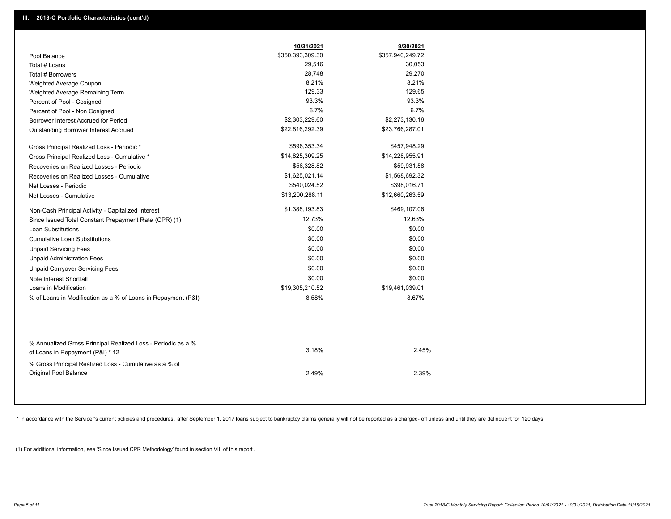|                                                                                                  | 10/31/2021       | 9/30/2021        |
|--------------------------------------------------------------------------------------------------|------------------|------------------|
| Pool Balance                                                                                     | \$350,393,309.30 | \$357,940,249.72 |
| Total # Loans                                                                                    | 29,516           | 30,053           |
| Total # Borrowers                                                                                | 28,748           | 29,270           |
| Weighted Average Coupon                                                                          | 8.21%            | 8.21%            |
| Weighted Average Remaining Term                                                                  | 129.33           | 129.65           |
| Percent of Pool - Cosigned                                                                       | 93.3%            | 93.3%            |
| Percent of Pool - Non Cosigned                                                                   | 6.7%             | 6.7%             |
| Borrower Interest Accrued for Period                                                             | \$2,303,229.60   | \$2,273,130.16   |
| Outstanding Borrower Interest Accrued                                                            | \$22,816,292.39  | \$23,766,287.01  |
| Gross Principal Realized Loss - Periodic *                                                       | \$596,353.34     | \$457,948.29     |
| Gross Principal Realized Loss - Cumulative *                                                     | \$14,825,309.25  | \$14,228,955.91  |
| Recoveries on Realized Losses - Periodic                                                         | \$56,328.82      | \$59,931.58      |
| Recoveries on Realized Losses - Cumulative                                                       | \$1,625,021.14   | \$1,568,692.32   |
| Net Losses - Periodic                                                                            | \$540,024.52     | \$398,016.71     |
| Net Losses - Cumulative                                                                          | \$13,200,288.11  | \$12,660,263.59  |
| Non-Cash Principal Activity - Capitalized Interest                                               | \$1,388,193.83   | \$469,107.06     |
| Since Issued Total Constant Prepayment Rate (CPR) (1)                                            | 12.73%           | 12.63%           |
| <b>Loan Substitutions</b>                                                                        | \$0.00           | \$0.00           |
| Cumulative Loan Substitutions                                                                    | \$0.00           | \$0.00           |
| <b>Unpaid Servicing Fees</b>                                                                     | \$0.00           | \$0.00           |
| <b>Unpaid Administration Fees</b>                                                                | \$0.00           | \$0.00           |
| <b>Unpaid Carryover Servicing Fees</b>                                                           | \$0.00           | \$0.00           |
| Note Interest Shortfall                                                                          | \$0.00           | \$0.00           |
| Loans in Modification                                                                            | \$19,305,210.52  | \$19,461,039.01  |
| % of Loans in Modification as a % of Loans in Repayment (P&I)                                    | 8.58%            | 8.67%            |
|                                                                                                  |                  |                  |
| % Annualized Gross Principal Realized Loss - Periodic as a %<br>of Loans in Repayment (P&I) * 12 | 3.18%            | 2.45%            |
| % Gross Principal Realized Loss - Cumulative as a % of                                           |                  |                  |
| Original Pool Balance                                                                            | 2.49%            | 2.39%            |

\* In accordance with the Servicer's current policies and procedures, after September 1, 2017 loans subject to bankruptcy claims generally will not be reported as a charged- off unless and until they are delinquent for 120

(1) For additional information, see 'Since Issued CPR Methodology' found in section VIII of this report .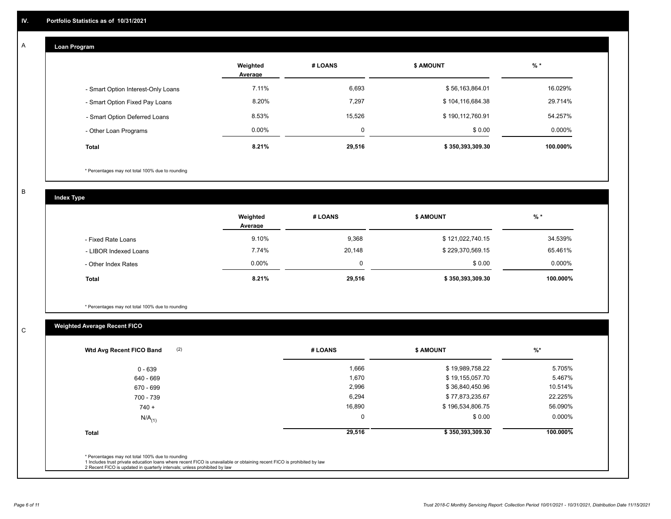## **Loan Program**

A

|                                    | Weighted<br>Average | # LOANS | <b>\$ AMOUNT</b> | $%$ *     |
|------------------------------------|---------------------|---------|------------------|-----------|
| - Smart Option Interest-Only Loans | 7.11%               | 6,693   | \$56,163,864.01  | 16.029%   |
| - Smart Option Fixed Pay Loans     | 8.20%               | 7,297   | \$104,116,684.38 | 29.714%   |
| - Smart Option Deferred Loans      | 8.53%               | 15.526  | \$190,112,760.91 | 54.257%   |
| - Other Loan Programs              | $0.00\%$            | 0       | \$0.00           | $0.000\%$ |
| <b>Total</b>                       | 8.21%               | 29,516  | \$350,393,309.30 | 100.000%  |

\* Percentages may not total 100% due to rounding

B

C

**Index Type**

|                       | Weighted<br>Average | # LOANS | <b>\$ AMOUNT</b> | $%$ *     |
|-----------------------|---------------------|---------|------------------|-----------|
| - Fixed Rate Loans    | 9.10%               | 9,368   | \$121,022,740.15 | 34.539%   |
| - LIBOR Indexed Loans | 7.74%               | 20,148  | \$229,370,569.15 | 65.461%   |
| - Other Index Rates   | $0.00\%$            | 0       | \$0.00           | $0.000\%$ |
| <b>Total</b>          | 8.21%               | 29,516  | \$350,393,309.30 | 100.000%  |

\* Percentages may not total 100% due to rounding

# **Weighted Average Recent FICO**

| 1,666<br>1,670<br>2,996<br>6,294 | \$19,989,758.22<br>\$19,155,057.70<br>\$36,840,450.96 | 5.705%<br>5.467%<br>10.514% |
|----------------------------------|-------------------------------------------------------|-----------------------------|
|                                  |                                                       |                             |
|                                  |                                                       |                             |
|                                  |                                                       |                             |
|                                  | \$77,873,235.67                                       | 22.225%                     |
| 16,890                           | \$196,534,806.75                                      | 56.090%                     |
| $\mathbf 0$                      | \$0.00                                                | $0.000\%$                   |
| 29,516                           | \$350,393,309.30                                      | 100.000%                    |
|                                  |                                                       |                             |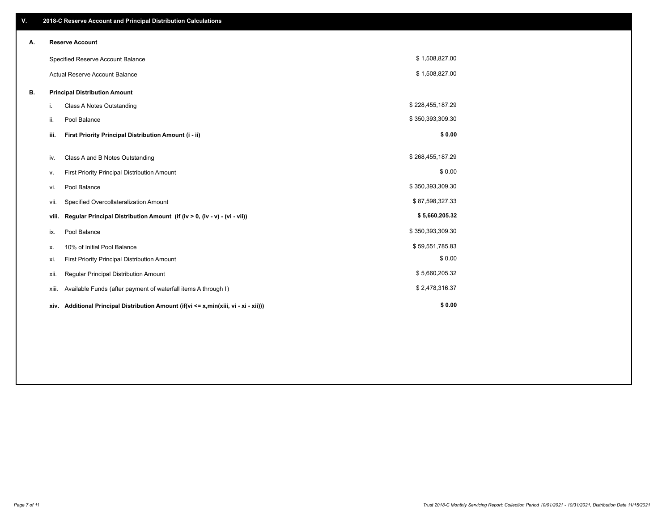| V. |       | 2018-C Reserve Account and Principal Distribution Calculations                       |                  |  |
|----|-------|--------------------------------------------------------------------------------------|------------------|--|
| А. |       | <b>Reserve Account</b>                                                               |                  |  |
|    |       | Specified Reserve Account Balance                                                    | \$1,508,827.00   |  |
|    |       | <b>Actual Reserve Account Balance</b>                                                | \$1,508,827.00   |  |
| В. |       | <b>Principal Distribution Amount</b>                                                 |                  |  |
|    | i.    | <b>Class A Notes Outstanding</b>                                                     | \$228,455,187.29 |  |
|    | ii.   | Pool Balance                                                                         | \$350,393,309.30 |  |
|    | iii.  | First Priority Principal Distribution Amount (i - ii)                                | \$0.00           |  |
|    | iv.   | Class A and B Notes Outstanding                                                      | \$268,455,187.29 |  |
|    | ۷.    | First Priority Principal Distribution Amount                                         | \$0.00           |  |
|    | vi.   | Pool Balance                                                                         | \$350,393,309.30 |  |
|    | vii.  | Specified Overcollateralization Amount                                               | \$87,598,327.33  |  |
|    | viii. | Regular Principal Distribution Amount (if (iv > 0, (iv - v) - (vi - vii))            | \$5,660,205.32   |  |
|    | ix.   | Pool Balance                                                                         | \$350,393,309.30 |  |
|    | х.    | 10% of Initial Pool Balance                                                          | \$59,551,785.83  |  |
|    | xi.   | First Priority Principal Distribution Amount                                         | \$0.00           |  |
|    | xii.  | Regular Principal Distribution Amount                                                | \$5,660,205.32   |  |
|    | xiii. | Available Funds (after payment of waterfall items A through I)                       | \$2,478,316.37   |  |
|    |       | xiv. Additional Principal Distribution Amount (if(vi <= x,min(xiii, vi - xi - xii))) | \$0.00           |  |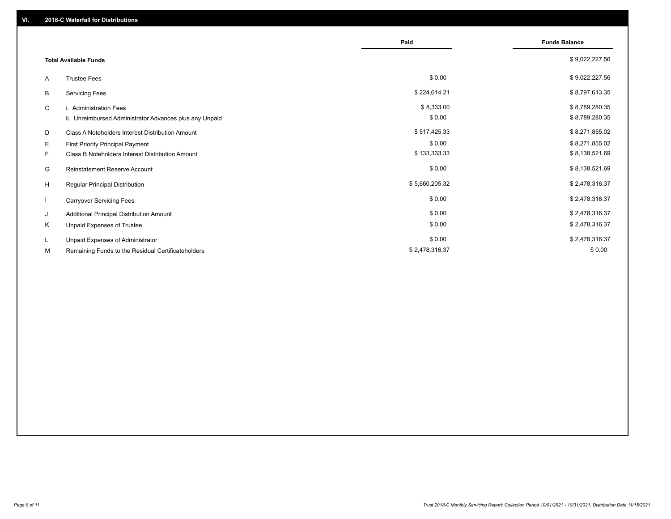|    |                                                         | Paid           | <b>Funds Balance</b> |
|----|---------------------------------------------------------|----------------|----------------------|
|    | <b>Total Available Funds</b>                            |                | \$9,022,227.56       |
| A  | <b>Trustee Fees</b>                                     | \$0.00         | \$9,022,227.56       |
| В  | <b>Servicing Fees</b>                                   | \$224,614.21   | \$8,797,613.35       |
| C  | i. Administration Fees                                  | \$8,333.00     | \$8,789,280.35       |
|    | ii. Unreimbursed Administrator Advances plus any Unpaid | \$0.00         | \$8,789,280.35       |
| D  | Class A Noteholders Interest Distribution Amount        | \$517,425.33   | \$8,271,855.02       |
| Е  | First Priority Principal Payment                        | \$0.00         | \$8,271,855.02       |
| F. | Class B Noteholders Interest Distribution Amount        | \$133,333.33   | \$8,138,521.69       |
| G  | <b>Reinstatement Reserve Account</b>                    | \$0.00         | \$8,138,521.69       |
| H  | Regular Principal Distribution                          | \$5,660,205.32 | \$2,478,316.37       |
|    | <b>Carryover Servicing Fees</b>                         | \$0.00         | \$2,478,316.37       |
| J  | Additional Principal Distribution Amount                | \$0.00         | \$2,478,316.37       |
| Κ  | Unpaid Expenses of Trustee                              | \$0.00         | \$2,478,316.37       |
| L  | Unpaid Expenses of Administrator                        | \$0.00         | \$2,478,316.37       |
| М  | Remaining Funds to the Residual Certificateholders      | \$2,478,316.37 | \$0.00               |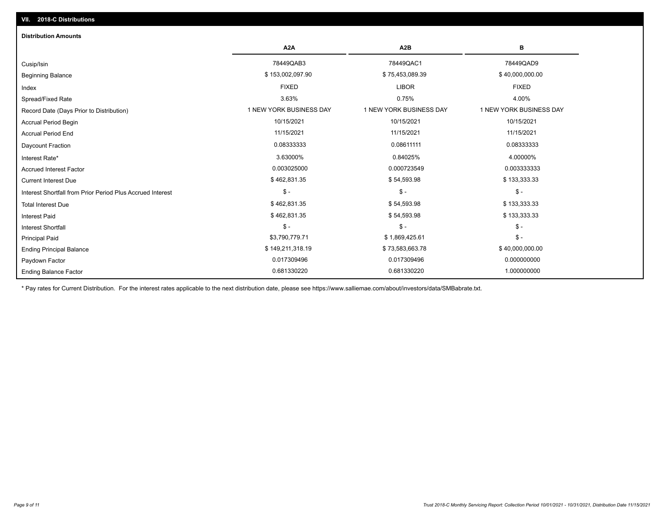| <b>Distribution Amounts</b>                                |                         |                         |                         |
|------------------------------------------------------------|-------------------------|-------------------------|-------------------------|
|                                                            | A <sub>2</sub> A        | A <sub>2</sub> B        | в                       |
| Cusip/Isin                                                 | 78449QAB3               | 78449QAC1               | 78449QAD9               |
| <b>Beginning Balance</b>                                   | \$153,002,097.90        | \$75,453,089.39         | \$40,000,000.00         |
| Index                                                      | <b>FIXED</b>            | <b>LIBOR</b>            | <b>FIXED</b>            |
| Spread/Fixed Rate                                          | 3.63%                   | 0.75%                   | 4.00%                   |
| Record Date (Days Prior to Distribution)                   | 1 NEW YORK BUSINESS DAY | 1 NEW YORK BUSINESS DAY | 1 NEW YORK BUSINESS DAY |
| <b>Accrual Period Begin</b>                                | 10/15/2021              | 10/15/2021              | 10/15/2021              |
| <b>Accrual Period End</b>                                  | 11/15/2021              | 11/15/2021              | 11/15/2021              |
| Daycount Fraction                                          | 0.08333333              | 0.08611111              | 0.08333333              |
| Interest Rate*                                             | 3.63000%                | 0.84025%                | 4.00000%                |
| <b>Accrued Interest Factor</b>                             | 0.003025000             | 0.000723549             | 0.003333333             |
| <b>Current Interest Due</b>                                | \$462,831.35            | \$54,593.98             | \$133,333.33            |
| Interest Shortfall from Prior Period Plus Accrued Interest | $\mathsf{\$}$ -         | $\mathsf{\$}$ -         | $$ -$                   |
| <b>Total Interest Due</b>                                  | \$462,831.35            | \$54,593.98             | \$133,333.33            |
| <b>Interest Paid</b>                                       | \$462,831.35            | \$54,593.98             | \$133,333.33            |
| <b>Interest Shortfall</b>                                  | $$ -$                   | $$ -$                   | $$ -$                   |
| <b>Principal Paid</b>                                      | \$3,790,779.71          | \$1,869,425.61          | $$ -$                   |
| <b>Ending Principal Balance</b>                            | \$149,211,318.19        | \$73,583,663.78         | \$40,000,000.00         |
| Paydown Factor                                             | 0.017309496             | 0.017309496             | 0.000000000             |
| <b>Ending Balance Factor</b>                               | 0.681330220             | 0.681330220             | 1.000000000             |

\* Pay rates for Current Distribution. For the interest rates applicable to the next distribution date, please see https://www.salliemae.com/about/investors/data/SMBabrate.txt.

**VII. 2018-C Distributions**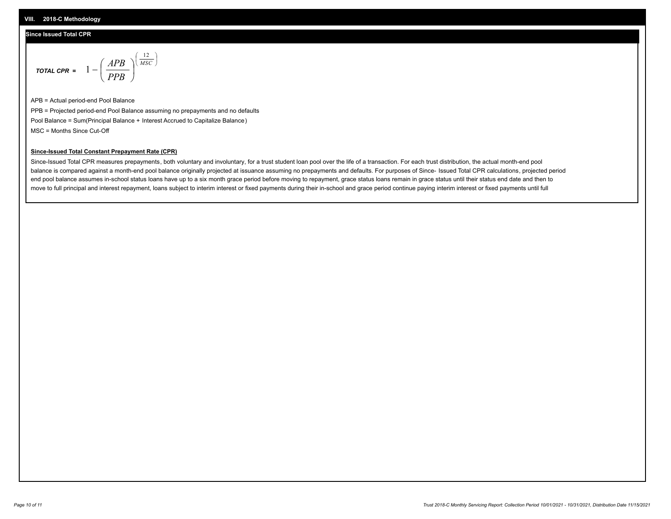## **Since Issued Total CPR**

$$
\text{total cPR} = 1 - \left(\frac{APB}{PPB}\right)^{\left(\frac{12}{MSC}\right)}
$$

APB = Actual period-end Pool Balance PPB = Projected period-end Pool Balance assuming no prepayments and no defaults Pool Balance = Sum(Principal Balance + Interest Accrued to Capitalize Balance) MSC = Months Since Cut-Off

I J Ι

### **Since-Issued Total Constant Prepayment Rate (CPR)**

Since-Issued Total CPR measures prepayments, both voluntary and involuntary, for a trust student loan pool over the life of a transaction. For each trust distribution, the actual month-end pool balance is compared against a month-end pool balance originally projected at issuance assuming no prepayments and defaults. For purposes of Since- Issued Total CPR calculations, projected period end pool balance assumes in-school status loans have up to a six month grace period before moving to repayment, grace status loans remain in grace status until their status end date and then to move to full principal and interest repayment, loans subject to interim interest or fixed payments during their in-school and grace period continue paying interim interest or fixed payments until full